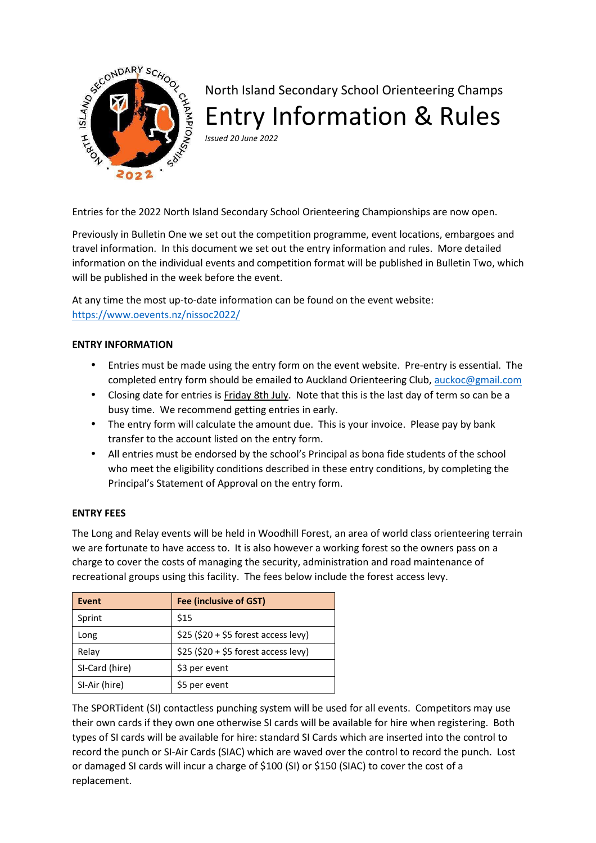

# North Island Secondary School Orienteering Champs Entry Information & Rules

*Issued 20 June 2022* 

Entries for the 2022 North Island Secondary School Orienteering Championships are now open.

Previously in Bulletin One we set out the competition programme, event locations, embargoes and travel information. In this document we set out the entry information and rules. More detailed information on the individual events and competition format will be published in Bulletin Two, which will be published in the week before the event.

At any time the most up-to-date information can be found on the event website: https://www.oevents.nz/nissoc2022/

# **ENTRY INFORMATION**

- Entries must be made using the entry form on the event website. Pre-entry is essential. The completed entry form should be emailed to Auckland Orienteering Club, auckoc@gmail.com
- Closing date for entries is Friday 8th July. Note that this is the last day of term so can be a busy time. We recommend getting entries in early.
- The entry form will calculate the amount due. This is your invoice. Please pay by bank transfer to the account listed on the entry form.
- All entries must be endorsed by the school's Principal as bona fide students of the school who meet the eligibility conditions described in these entry conditions, by completing the Principal's Statement of Approval on the entry form.

#### **ENTRY FEES**

The Long and Relay events will be held in Woodhill Forest, an area of world class orienteering terrain we are fortunate to have access to. It is also however a working forest so the owners pass on a charge to cover the costs of managing the security, administration and road maintenance of recreational groups using this facility. The fees below include the forest access levy.

| Event          | <b>Fee (inclusive of GST)</b>        |
|----------------|--------------------------------------|
| Sprint         | \$15                                 |
| Long           | $$25 ($20 + $5$ forest access levy)$ |
| Relay          | $$25 ($20 + $5$ forest access levy)$ |
| SI-Card (hire) | \$3 per event                        |
| SI-Air (hire)  | \$5 per event                        |

The SPORTident (SI) contactless punching system will be used for all events. Competitors may use their own cards if they own one otherwise SI cards will be available for hire when registering. Both types of SI cards will be available for hire: standard SI Cards which are inserted into the control to record the punch or SI-Air Cards (SIAC) which are waved over the control to record the punch. Lost or damaged SI cards will incur a charge of \$100 (SI) or \$150 (SIAC) to cover the cost of a replacement.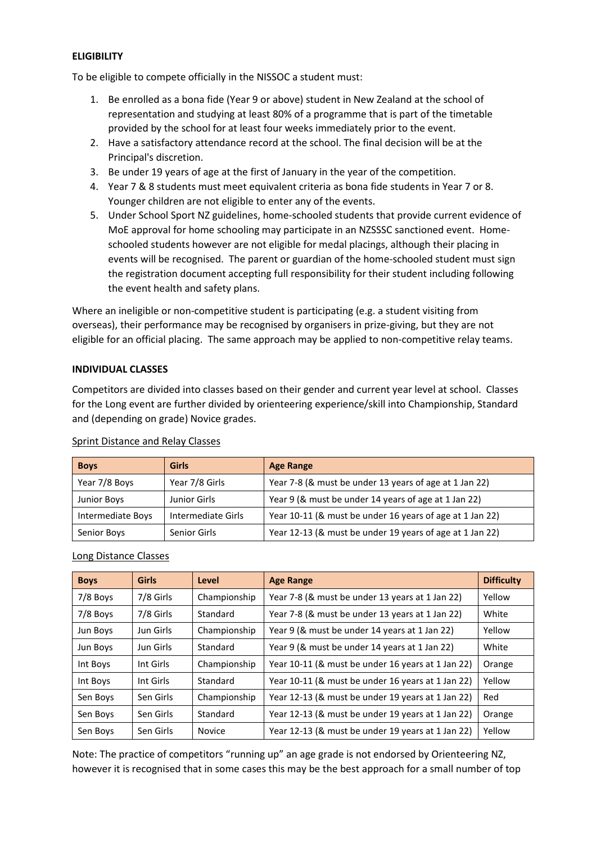## **ELIGIBILITY**

To be eligible to compete officially in the NISSOC a student must:

- 1. Be enrolled as a bona fide (Year 9 or above) student in New Zealand at the school of representation and studying at least 80% of a programme that is part of the timetable provided by the school for at least four weeks immediately prior to the event.
- 2. Have a satisfactory attendance record at the school. The final decision will be at the Principal's discretion.
- 3. Be under 19 years of age at the first of January in the year of the competition.
- 4. Year 7 & 8 students must meet equivalent criteria as bona fide students in Year 7 or 8. Younger children are not eligible to enter any of the events.
- 5. Under School Sport NZ guidelines, home-schooled students that provide current evidence of MoE approval for home schooling may participate in an NZSSSC sanctioned event. Homeschooled students however are not eligible for medal placings, although their placing in events will be recognised. The parent or guardian of the home-schooled student must sign the registration document accepting full responsibility for their student including following the event health and safety plans.

Where an ineligible or non-competitive student is participating (e.g. a student visiting from overseas), their performance may be recognised by organisers in prize-giving, but they are not eligible for an official placing. The same approach may be applied to non-competitive relay teams.

## **INDIVIDUAL CLASSES**

Competitors are divided into classes based on their gender and current year level at school. Classes for the Long event are further divided by orienteering experience/skill into Championship, Standard and (depending on grade) Novice grades.

| <b>Boys</b>       | Girls              | <b>Age Range</b>                                         |
|-------------------|--------------------|----------------------------------------------------------|
| Year 7/8 Boys     | Year 7/8 Girls     | Year 7-8 (& must be under 13 years of age at 1 Jan 22)   |
| Junior Boys       | Junior Girls       | Year 9 (& must be under 14 years of age at 1 Jan 22)     |
| Intermediate Boys | Intermediate Girls | Year 10-11 (& must be under 16 years of age at 1 Jan 22) |
| Senior Boys       | Senior Girls       | Year 12-13 (& must be under 19 years of age at 1 Jan 22) |

#### Sprint Distance and Relay Classes

#### Long Distance Classes

| <b>Boys</b> | <b>Girls</b> | Level        | <b>Age Range</b>                                  | <b>Difficulty</b> |
|-------------|--------------|--------------|---------------------------------------------------|-------------------|
| 7/8 Boys    | 7/8 Girls    | Championship | Year 7-8 (& must be under 13 years at 1 Jan 22)   | Yellow            |
| 7/8 Boys    | 7/8 Girls    | Standard     | Year 7-8 (& must be under 13 years at 1 Jan 22)   | White             |
| Jun Boys    | Jun Girls    | Championship | Year 9 (& must be under 14 years at 1 Jan 22)     | Yellow            |
| Jun Boys    | Jun Girls    | Standard     | Year 9 (& must be under 14 years at 1 Jan 22)     | White             |
| Int Boys    | Int Girls    | Championship | Year 10-11 (& must be under 16 years at 1 Jan 22) | Orange            |
| Int Boys    | Int Girls    | Standard     | Year 10-11 (& must be under 16 years at 1 Jan 22) | Yellow            |
| Sen Boys    | Sen Girls    | Championship | Year 12-13 (& must be under 19 years at 1 Jan 22) | Red               |
| Sen Boys    | Sen Girls    | Standard     | Year 12-13 (& must be under 19 years at 1 Jan 22) | Orange            |
| Sen Boys    | Sen Girls    | Novice       | Year 12-13 (& must be under 19 years at 1 Jan 22) | Yellow            |

Note: The practice of competitors "running up" an age grade is not endorsed by Orienteering NZ, however it is recognised that in some cases this may be the best approach for a small number of top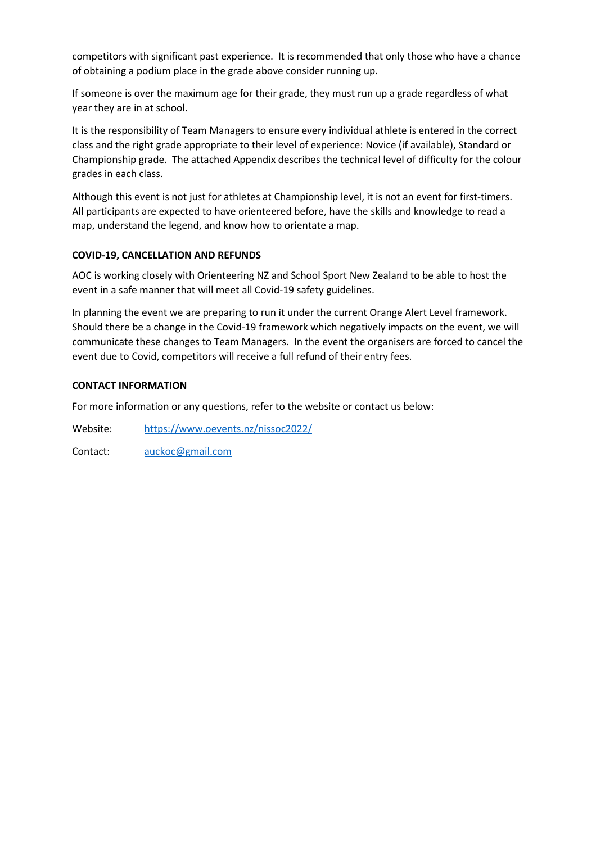competitors with significant past experience. It is recommended that only those who have a chance of obtaining a podium place in the grade above consider running up.

If someone is over the maximum age for their grade, they must run up a grade regardless of what year they are in at school.

It is the responsibility of Team Managers to ensure every individual athlete is entered in the correct class and the right grade appropriate to their level of experience: Novice (if available), Standard or Championship grade. The attached Appendix describes the technical level of difficulty for the colour grades in each class.

Although this event is not just for athletes at Championship level, it is not an event for first-timers. All participants are expected to have orienteered before, have the skills and knowledge to read a map, understand the legend, and know how to orientate a map.

# **COVID-19, CANCELLATION AND REFUNDS**

AOC is working closely with Orienteering NZ and School Sport New Zealand to be able to host the event in a safe manner that will meet all Covid-19 safety guidelines.

In planning the event we are preparing to run it under the current Orange Alert Level framework. Should there be a change in the Covid-19 framework which negatively impacts on the event, we will communicate these changes to Team Managers. In the event the organisers are forced to cancel the event due to Covid, competitors will receive a full refund of their entry fees.

## **CONTACT INFORMATION**

For more information or any questions, refer to the website or contact us below:

Website: https://www.oevents.nz/nissoc2022/

Contact: auckoc@gmail.com